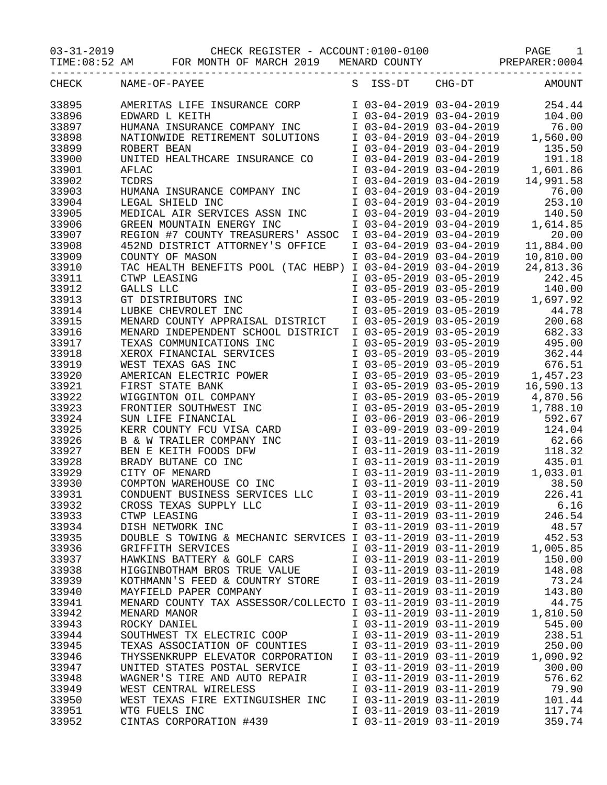03-31-2019 CHECK REGISTER - ACCOUNT:0100-0100 PAGE 1

TIME:08:52 AM FOR MONTH OF MARCH 2019 MENARD COUNTY PREPARER:0004

| CHECK | NAME-OF-PAYEE                                                                        | S ISS-DT                | $CHG-DT$                                           | AMOUNT                            |
|-------|--------------------------------------------------------------------------------------|-------------------------|----------------------------------------------------|-----------------------------------|
| 33895 | AMERITAS LIFE INSURANCE CORP                                                         |                         | I 03-04-2019 03-04-2019                            | 254.44                            |
| 33896 | EDWARD L KEITH                                                                       |                         | I 03-04-2019 03-04-2019                            | 104.00                            |
| 33897 | HUMANA INSURANCE COMPANY INC                                                         |                         | I 03-04-2019 03-04-2019                            | 76.00                             |
| 33898 | NATIONWIDE RETIREMENT SOLUTIONS                                                      |                         | $103-04-2019$ $03-04-2019$                         | 1,560.00                          |
| 33899 | ROBERT BEAN                                                                          |                         | I 03-04-2019 03-04-2019                            | 135.50                            |
| 33900 | UNITED HEALTHCARE INSURANCE CO                                                       |                         | I 03-04-2019 03-04-2019                            | 191.18                            |
| 33901 | AFLAC                                                                                |                         | I 03-04-2019 03-04-2019                            | 1,601.86                          |
| 33902 | TCDRS                                                                                |                         | I 03-04-2019 03-04-2019                            | 14,991.58                         |
| 33903 | HUMANA INSURANCE COMPANY INC                                                         | I 03-04-2019 03-04-2019 |                                                    | 76.00                             |
| 33904 | LEGAL SHIELD INC                                                                     |                         | I 03-04-2019 03-04-2019                            | 253.10                            |
| 33905 | MEDICAL AIR SERVICES ASSN INC                                                        |                         | I 03-04-2019 03-04-2019                            | 140.50                            |
| 33906 | GREEN MOUNTAIN ENERGY INC                                                            |                         | I 03-04-2019 03-04-2019                            | 1,614.85                          |
| 33907 | REGION #7 COUNTY TREASURERS' ASSOC                                                   | I 03-04-2019 03-04-2019 |                                                    | 20.00                             |
| 33908 | 452ND DISTRICT ATTORNEY'S OFFICE                                                     |                         | I 03-04-2019 03-04-2019                            | 11,884.00                         |
| 33909 | COUNTY OF MASON                                                                      | I 03-04-2019 03-04-2019 |                                                    | 10,810.00                         |
| 33910 | TAC HEALTH BENEFITS POOL (TAC HEBP)                                                  | I 03-04-2019 03-04-2019 |                                                    | 24,813.36                         |
| 33911 | CTWP LEASING                                                                         | I 03-05-2019 03-05-2019 |                                                    | 242.45                            |
| 33912 | GALLS LLC                                                                            | I 03-05-2019 03-05-2019 |                                                    | 140.00                            |
| 33913 | GT DISTRIBUTORS INC                                                                  |                         | $103-05-201903-05-2019$<br>$103-05-201903-05-2019$ | 1,697.92                          |
| 33914 | LUBKE CHEVROLET INC                                                                  | I 03-05-2019 03-05-2019 |                                                    | 44.78                             |
| 33915 | MENARD COUNTY APPRAISAL DISTRICT                                                     |                         | I 03-05-2019 03-05-2019                            | 200.68                            |
| 33916 | MENARD INDEPENDENT SCHOOL DISTRICT                                                   |                         | I 03-05-2019 03-05-2019                            | 682.33                            |
| 33917 | TEXAS COMMUNICATIONS INC                                                             |                         | I 03-05-2019 03-05-2019                            | 495.00                            |
| 33918 |                                                                                      |                         | I 03-05-2019 03-05-2019                            | 362.44                            |
| 33919 |                                                                                      |                         | $I$ 03-05-2019 03-05-2019                          | 676.51                            |
| 33920 | EXAS GAS INC<br>AMERICAN ELECTRIC POWER<br>FIRST STATE BANK<br>WIGGINTON OIL COMPANY |                         | $I$ 03-05-2019 03-05-2019                          | 1,457.23                          |
| 33921 |                                                                                      |                         |                                                    | I 03-05-2019 03-05-2019 16,590.13 |
| 33922 |                                                                                      |                         | I 03-05-2019 03-05-2019                            | 4,870.56                          |
| 33923 | FRONTIER SOUTHWEST INC                                                               | I 03-05-2019 03-05-2019 |                                                    | 1,788.10                          |
| 33924 | SUN LIFE FINANCIAL                                                                   | I 03-06-2019 03-06-2019 |                                                    | 592.67                            |
| 33925 | KERR COUNTY FCU VISA CARD                                                            | I 03-09-2019 03-09-2019 |                                                    | 124.04                            |
| 33926 | B & W TRAILER COMPANY INC                                                            | I 03-11-2019 03-11-2019 |                                                    | 62.66                             |
| 33927 | BEN E KEITH FOODS DFW                                                                |                         | I 03-11-2019 03-11-2019                            | 118.32                            |
| 33928 | BRADY BUTANE CO INC                                                                  |                         | I 03-11-2019 03-11-2019                            | 435.01                            |
| 33929 | CITY OF MENARD                                                                       |                         | $103-11-201903-11-2019$<br>$103-11-201903-11-2019$ | 1,033.01                          |
| 33930 | COMPTON WAREHOUSE CO INC                                                             |                         | I 03-11-2019 03-11-2019                            | 38.50                             |
| 33931 | CONDUENT BUSINESS SERVICES LLC                                                       |                         | I 03-11-2019 03-11-2019                            | 226.41                            |
| 33932 | CROSS TEXAS SUPPLY LLC                                                               | I 03-11-2019 03-11-2019 |                                                    | 6.16                              |
| 33933 | CTWP LEASING                                                                         | I 03-11-2019 03-11-2019 |                                                    | 246.54                            |
| 33934 | DISH NETWORK INC                                                                     | I 03-11-2019 03-11-2019 |                                                    | 48.57                             |
| 33935 | DOUBLE S TOWING & MECHANIC SERVICES I 03-11-2019 03-11-2019                          |                         |                                                    | 452.53                            |
| 33936 | GRIFFITH SERVICES                                                                    | I 03-11-2019 03-11-2019 |                                                    | 1,005.85                          |
| 33937 | HAWKINS BATTERY & GOLF CARS                                                          | I 03-11-2019 03-11-2019 |                                                    | 150.00                            |
| 33938 | HIGGINBOTHAM BROS TRUE VALUE                                                         | I 03-11-2019 03-11-2019 |                                                    | 148.08                            |
| 33939 | KOTHMANN'S FEED & COUNTRY STORE                                                      | I 03-11-2019 03-11-2019 |                                                    | 73.24                             |
| 33940 | MAYFIELD PAPER COMPANY                                                               | I 03-11-2019 03-11-2019 |                                                    | 143.80                            |
| 33941 | MENARD COUNTY TAX ASSESSOR/COLLECTO I 03-11-2019 03-11-2019                          |                         |                                                    | 44.75                             |
| 33942 | MENARD MANOR                                                                         | I 03-11-2019 03-11-2019 |                                                    | 1,810.50                          |
| 33943 | ROCKY DANIEL                                                                         | I 03-11-2019 03-11-2019 |                                                    | 545.00                            |
| 33944 | SOUTHWEST TX ELECTRIC COOP                                                           | I 03-11-2019 03-11-2019 |                                                    | 238.51                            |
| 33945 | TEXAS ASSOCIATION OF COUNTIES                                                        | I 03-11-2019 03-11-2019 |                                                    | 250.00                            |
| 33946 | THYSSENKRUPP ELEVATOR CORPORATION                                                    | I 03-11-2019 03-11-2019 |                                                    | 1,090.92                          |
| 33947 | UNITED STATES POSTAL SERVICE                                                         | I 03-11-2019 03-11-2019 |                                                    | 300.00                            |
| 33948 | WAGNER'S TIRE AND AUTO REPAIR                                                        | I 03-11-2019 03-11-2019 |                                                    | 576.62                            |
| 33949 | WEST CENTRAL WIRELESS                                                                | I 03-11-2019 03-11-2019 |                                                    | 79.90                             |
| 33950 | WEST TEXAS FIRE EXTINGUISHER INC                                                     | I 03-11-2019 03-11-2019 |                                                    | 101.44                            |
| 33951 | WTG FUELS INC                                                                        | I 03-11-2019 03-11-2019 |                                                    | 117.74                            |
| 33952 | CINTAS CORPORATION #439                                                              | I 03-11-2019 03-11-2019 |                                                    | 359.74                            |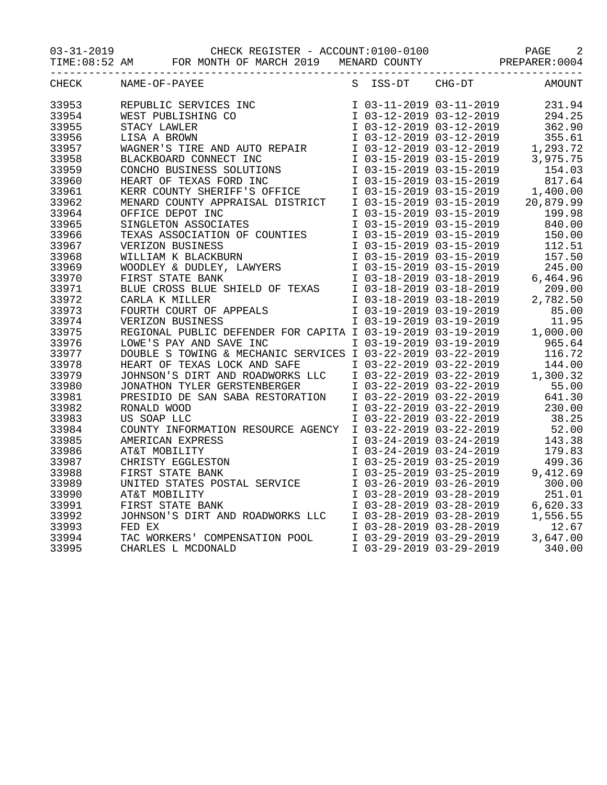03-31-2019 CHECK REGISTER - ACCOUNT:0100-0100 PAGE 2

TIME:08:52 AM FOR MONTH OF MARCH 2019 MENARD COUNTY PREPARER:0004

|       | ---------------------------                                                                                         |                         |                                                                                                                                                                                    |                                                                                                         |
|-------|---------------------------------------------------------------------------------------------------------------------|-------------------------|------------------------------------------------------------------------------------------------------------------------------------------------------------------------------------|---------------------------------------------------------------------------------------------------------|
| CHECK | NAME-OF-PAYEE                                                                                                       | S ISS-DT CHG-DT         |                                                                                                                                                                                    | AMOUNT                                                                                                  |
| 33953 | REPUBLIC SERVICES INC                                                                                               |                         | I 03-11-2019 03-11-2019                                                                                                                                                            | 231.94                                                                                                  |
| 33954 | WEST PUBLISHING CO                                                                                                  |                         | I 03-12-2019 03-12-2019                                                                                                                                                            | 294.25                                                                                                  |
| 33955 | STACY LAWLER                                                                                                        |                         | I 03-12-2019 03-12-2019                                                                                                                                                            | 362.90                                                                                                  |
| 33956 | LISA A BROWN                                                                                                        |                         | $I$ 03-12-2019 03-12-2019                                                                                                                                                          | 355.61                                                                                                  |
| 33957 | WAGNER'S TIRE AND AUTO REPAIR                                                                                       |                         |                                                                                                                                                                                    | 1,293.72                                                                                                |
| 33958 |                                                                                                                     |                         | $\begin{array}{cccccc} & -2 & -2019 & 03-12-2019 \\ \text{I} & 03-15-2019 & 03-15-2019 \\ \text{I} & 03-15-2019 & 03-15-2019 \\ \text{I} & 03-15-2019 & 03-15-2019 \\ \end{array}$ | 3,975.75                                                                                                |
| 33959 |                                                                                                                     |                         |                                                                                                                                                                                    | 154.03                                                                                                  |
| 33960 | HEART OF TEXAS FORD INC                                                                                             |                         |                                                                                                                                                                                    | I 03-15-2019 03-15-2019 817.64<br>I 03-15-2019 03-15-2019 1,400.00<br>I 03-15-2019 03-15-2019 20,879.99 |
| 33961 | KERR COUNTY SHERIFF'S OFFICE                                                                                        |                         |                                                                                                                                                                                    |                                                                                                         |
| 33962 | MENARD COUNTY APPRAISAL DISTRICT                                                                                    |                         |                                                                                                                                                                                    |                                                                                                         |
| 33964 | OFFICE DEPOT INC                                                                                                    |                         |                                                                                                                                                                                    | 199.98                                                                                                  |
| 33965 | SINGLETON ASSOCIATES                                                                                                |                         | I 03-15-2019 03-15-2019<br>I 03-15-2019 03-15-2019<br>I 03-15-2019 03-15-2019                                                                                                      | 840.00                                                                                                  |
| 33966 | TEXAS ASSOCIATION OF COUNTIES                                                                                       |                         |                                                                                                                                                                                    | 150.00                                                                                                  |
| 33967 |                                                                                                                     |                         | I 03-15-2019 03-15-2019                                                                                                                                                            | 112.51                                                                                                  |
| 33968 |                                                                                                                     |                         |                                                                                                                                                                                    | 157.50                                                                                                  |
| 33969 | VERIZON BUSINESS<br>WILLIAM K BLACKBURN<br>WOODLEY & DUDLEY, LAWYERS<br>FIRST STATE BANK                            |                         | I 03-15-2019 03-15-2019<br>I 03-15-2019 03-15-2019                                                                                                                                 | 245.00                                                                                                  |
| 33970 |                                                                                                                     |                         | I 03-18-2019 03-18-2019                                                                                                                                                            | 6,464.96                                                                                                |
| 33971 | BLUE CROSS BLUE SHIELD OF TEXAS                                                                                     |                         |                                                                                                                                                                                    | 209.00                                                                                                  |
| 33972 |                                                                                                                     |                         | I 03-18-2019 03-18-2019<br>I 03-18-2019 03-18-2019 2                                                                                                                               | 2,782.50                                                                                                |
| 33973 | CARLA K MILLER<br>FOURTH COURT OF APPEALS                                                                           |                         | I 03-19-2019 03-19-2019                                                                                                                                                            | 85.00                                                                                                   |
| 33974 | VERIZON BUSINESS                                                                                                    |                         | I 03-19-2019 03-19-2019                                                                                                                                                            | 11.95                                                                                                   |
| 33975 | REGIONAL PUBLIC DEFENDER FOR CAPITA I 03-19-2019 03-19-2019                                                         |                         |                                                                                                                                                                                    | 1,000.00                                                                                                |
| 33976 | LOWE'S PAY AND SAVE INC                                                                                             |                         | I 03-19-2019 03-19-2019                                                                                                                                                            | 965.64                                                                                                  |
| 33977 |                                                                                                                     |                         |                                                                                                                                                                                    | 116.72                                                                                                  |
| 33978 | DOUBLE S TOWING & MECHANIC SERVICES I 03-22-2019 03-22-2019<br>HEART OF TEXAS LOCK AND SAFE 1 03-22-2019 03-22-2019 |                         |                                                                                                                                                                                    | 144.00                                                                                                  |
| 33979 | JOHNSON'S DIRT AND ROADWORKS LLC                                                                                    |                         | I 03-22-2019 03-22-2019                                                                                                                                                            | 1,300.32                                                                                                |
| 33980 |                                                                                                                     |                         | I 03-22-2019 03-22-2019                                                                                                                                                            | 55.00                                                                                                   |
| 33981 | JONATHON TYLER GERSTENBERGER<br>PRESIDIO DE SAN SABA RESTORATION                                                    |                         | I 03-22-2019 03-22-2019                                                                                                                                                            | 641.30                                                                                                  |
| 33982 | RONALD WOOD                                                                                                         |                         | I 03-22-2019 03-22-2019                                                                                                                                                            | 230.00                                                                                                  |
| 33983 | US SOAP LLC                                                                                                         |                         |                                                                                                                                                                                    | 38.25                                                                                                   |
| 33984 | COUNTY INFORMATION RESOURCE AGENCY                                                                                  |                         | I 03-22-2019 03-22-2019<br>I 03-22-2019 03-22-2019                                                                                                                                 | 52.00                                                                                                   |
| 33985 | AMERICAN EXPRESS                                                                                                    |                         | I 03-24-2019 03-24-2019                                                                                                                                                            | 143.38                                                                                                  |
| 33986 | AT&T MOBILITY                                                                                                       |                         | I 03-24-2019 03-24-2019                                                                                                                                                            | 179.83                                                                                                  |
| 33987 | CHRISTY EGGLESTON                                                                                                   |                         | I 03-25-2019 03-25-2019                                                                                                                                                            | 499.36                                                                                                  |
| 33988 | FIRST STATE BANK                                                                                                    |                         | I 03-25-2019 03-25-2019                                                                                                                                                            | 9,412.69                                                                                                |
| 33989 |                                                                                                                     |                         | I 03-26-2019 03-26-2019                                                                                                                                                            | 300.00                                                                                                  |
| 33990 | UNITED STATES POSTAL SERVICE<br>AT&T MOBILITY                                                                       |                         | $103-28-2019$ $03-28-2019$                                                                                                                                                         | 251.01                                                                                                  |
| 33991 | FIRST STATE BANK                                                                                                    |                         | I 03-28-2019 03-28-2019                                                                                                                                                            | 6,620.33                                                                                                |
| 33992 | JOHNSON'S DIRT AND ROADWORKS LLC                                                                                    |                         | I 03-28-2019 03-28-2019                                                                                                                                                            | 1,556.55                                                                                                |
| 33993 | FED EX                                                                                                              |                         | I 03-28-2019 03-28-2019                                                                                                                                                            | 12.67                                                                                                   |
| 33994 | TAC WORKERS' COMPENSATION POOL                                                                                      |                         | I 03-29-2019 03-29-2019                                                                                                                                                            | 3,647.00                                                                                                |
| 33995 | CHARLES L MCDONALD                                                                                                  | I 03-29-2019 03-29-2019 |                                                                                                                                                                                    | 340.00                                                                                                  |
|       |                                                                                                                     |                         |                                                                                                                                                                                    |                                                                                                         |